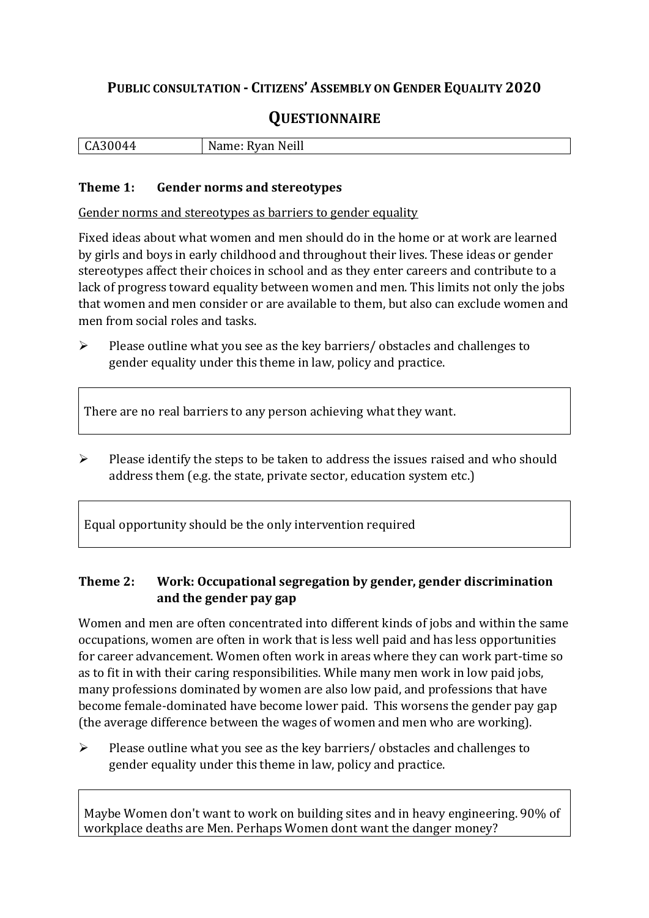## **PUBLIC CONSULTATION - CITIZENS' ASSEMBLY ON GENDER EQUALITY 2020**

# **QUESTIONNAIRE**

| - 11<br>$\mathbf{r}$<br>'ا ده پ<br>NI<br>יי<br>V.<br>$\sim$ - $\sim$ 111<br>⊶∸ |
|--------------------------------------------------------------------------------|
|--------------------------------------------------------------------------------|

#### **Theme 1: Gender norms and stereotypes**

Gender norms and stereotypes as barriers to gender equality

Fixed ideas about what women and men should do in the home or at work are learned by girls and boys in early childhood and throughout their lives. These ideas or gender stereotypes affect their choices in school and as they enter careers and contribute to a lack of progress toward equality between women and men. This limits not only the jobs that women and men consider or are available to them, but also can exclude women and men from social roles and tasks.

➢ Please outline what you see as the key barriers/ obstacles and challenges to gender equality under this theme in law, policy and practice.

There are no real barriers to any person achieving what they want.

➢ Please identify the steps to be taken to address the issues raised and who should address them (e.g. the state, private sector, education system etc.)

Equal opportunity should be the only intervention required

### **Theme 2: Work: Occupational segregation by gender, gender discrimination and the gender pay gap**

Women and men are often concentrated into different kinds of jobs and within the same occupations, women are often in work that is less well paid and has less opportunities for career advancement. Women often work in areas where they can work part-time so as to fit in with their caring responsibilities. While many men work in low paid jobs, many professions dominated by women are also low paid, and professions that have become female-dominated have become lower paid. This worsens the gender pay gap (the average difference between the wages of women and men who are working).

➢ Please outline what you see as the key barriers/ obstacles and challenges to gender equality under this theme in law, policy and practice.

Maybe Women don't want to work on building sites and in heavy engineering. 90% of workplace deaths are Men. Perhaps Women dont want the danger money?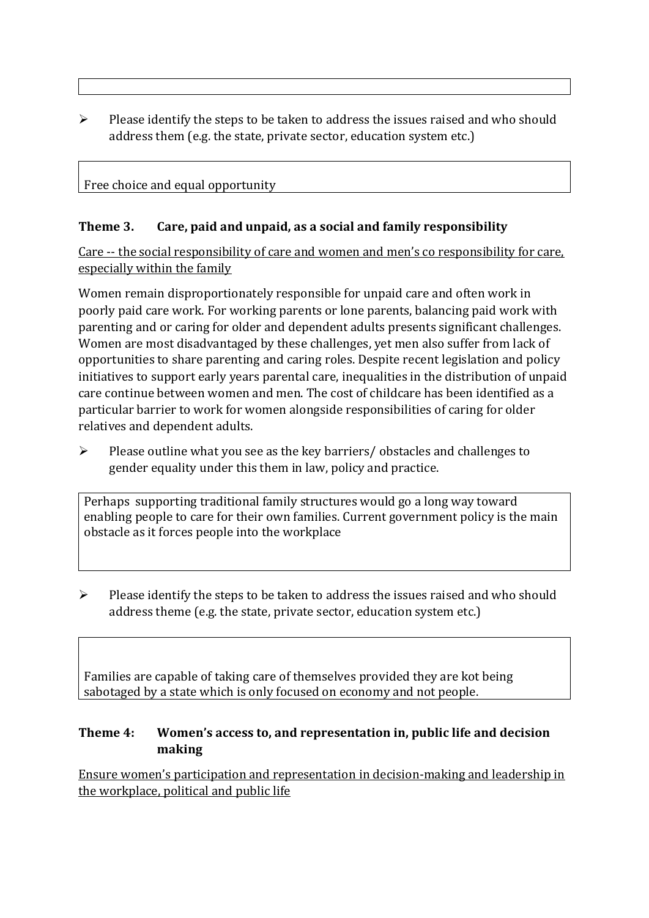$\triangleright$  Please identify the steps to be taken to address the issues raised and who should address them (e.g. the state, private sector, education system etc.)

## Free choice and equal opportunity

### **Theme 3. Care, paid and unpaid, as a social and family responsibility**

Care -- the social responsibility of care and women and men's co responsibility for care, especially within the family

Women remain disproportionately responsible for unpaid care and often work in poorly paid care work. For working parents or [lone parents,](https://aran.library.nuigalway.ie/bitstream/handle/10379/6044/Millar_and_Crosse_Activation_Report.pdf?sequence=1&isAllowed=y) balancing paid work with parenting and or caring for older and dependent adults presents significant challenges. Women are [most disadvantaged by these challenges,](https://eige.europa.eu/gender-equality-index/game/IE/W) yet men also suffer from lack of opportunities to share parenting and caring roles. Despite recent legislation and policy initiatives to support early years parental care, [inequalities in the distribution of unpaid](https://www.ihrec.ie/app/uploads/2019/07/Caring-and-Unpaid-Work-in-Ireland_Final.pdf)  [care](https://www.ihrec.ie/app/uploads/2019/07/Caring-and-Unpaid-Work-in-Ireland_Final.pdf) continue between women and men. The cost of childcare has been identified as a particular barrier to work for women alongside responsibilities of caring for older relatives and dependent adults.

➢ Please outline what you see as the key barriers/ obstacles and challenges to gender equality under this them in law, policy and practice.

Perhaps supporting traditional family structures would go a long way toward enabling people to care for their own families. Current government policy is the main obstacle as it forces people into the workplace

 $\triangleright$  Please identify the steps to be taken to address the issues raised and who should address theme (e.g. the state, private sector, education system etc.)

Families are capable of taking care of themselves provided they are kot being sabotaged by a state which is only focused on economy and not people.

### **Theme 4: Women's access to, and representation in, public life and decision making**

Ensure women's participation and representation in decision-making and leadership in the workplace, political and public life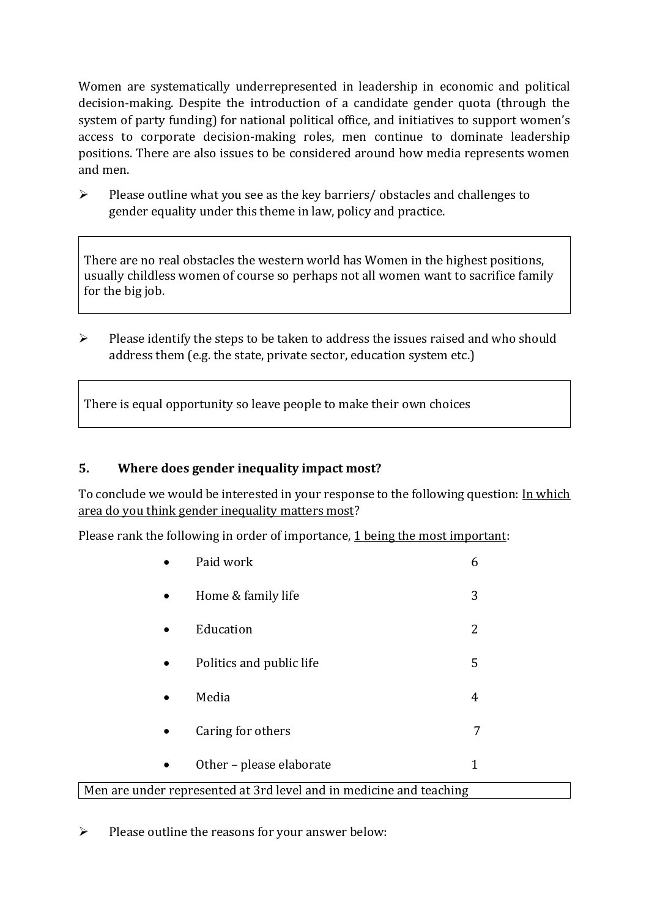Women are systematically underrepresented in leadership in [economic](https://eige.europa.eu/gender-equality-index/2019/compare-countries/power/2/bar) and [political](https://eige.europa.eu/gender-equality-index/2019/compare-countries/power/1/bar)  [decision-](https://eige.europa.eu/gender-equality-index/2019/compare-countries/power/1/bar)making. Despite the introduction of a candidate gender quota (through the system of party funding) for national political office, and [initiatives](https://betterbalance.ie/) to support women's access to corporate decision-making roles, men continue to dominate leadership positions. There are also issues to be considered around how media represents women and men.

➢ Please outline what you see as the key barriers/ obstacles and challenges to gender equality under this theme in law, policy and practice.

There are no real obstacles the western world has Women in the highest positions, usually childless women of course so perhaps not all women want to sacrifice family for the big job.

➢ Please identify the steps to be taken to address the issues raised and who should address them (e.g. the state, private sector, education system etc.)

There is equal opportunity so leave people to make their own choices

### **5. Where does gender inequality impact most?**

To conclude we would be interested in your response to the following question: In which area do you think gender inequality matters most?

Please rank the following in order of importance, 1 being the most important:

|                                                                     | Paid work                | 6 |  |
|---------------------------------------------------------------------|--------------------------|---|--|
| $\bullet$                                                           | Home & family life       | 3 |  |
| $\bullet$                                                           | Education                | 2 |  |
| $\bullet$                                                           | Politics and public life | 5 |  |
| $\bullet$                                                           | Media                    | 4 |  |
| $\bullet$                                                           | Caring for others        | 7 |  |
| $\bullet$                                                           | Other – please elaborate | 1 |  |
| Men are under represented at 3rd level and in medicine and teaching |                          |   |  |

 $\triangleright$  Please outline the reasons for your answer below: